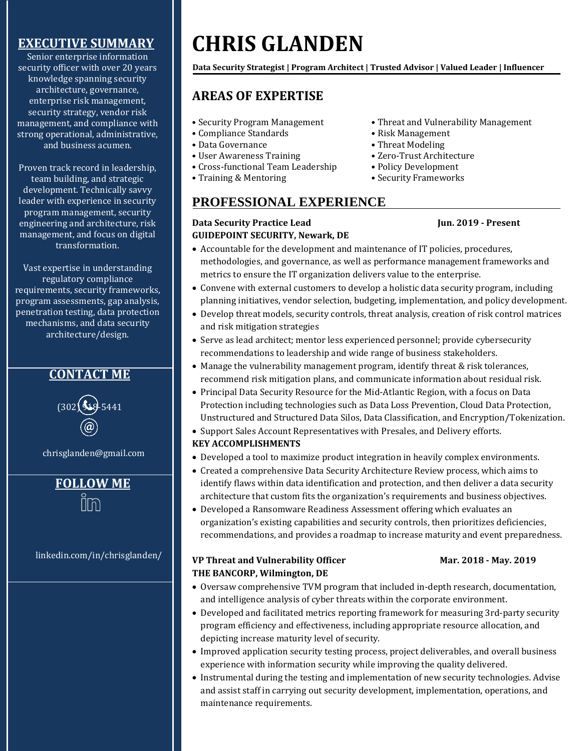## **EXECUTIVE SUMMARY**

Senior enterprise information security officer with over 20 years knowledge spanning security architecture, governance, enterprise risk management, security strategy, vendor risk management, and compliance with strong operational, administrative, and business acumen.

Proven track record in leadership, team building, and strategic development. Technically savvy leader with experience in security program management, security engineering and architecture, risk management, and focus on digital transformation.

Vast expertise in understanding regulatory compliance requirements, security frameworks, program assessments, gap analysis, penetration testing, data protection mechanisms, and data security architecture/design.

# **CONTACT ME**



chrisglanden@gmail.com

 **FOLLOW ME**

linkedin.com/in/chrisglanden/

# **CHRIS GLANDEN**

**Data Security Strategist | Program Architect | Trusted Advisor | Valued Leader | Influencer**

# **AREAS OF EXPERTISE**

- 
- Compliance Standards Risk Management
- Data Governance Threat Modeling
- User Awareness Training Zero-Trust Architecture
- Cross-functional Team Leadership Policy Development
- Training & Mentoring Security Frameworks

# **PROFESSIONAL EXPERIENCE**

#### **Data Security Practice Lead Jun. 2019 - Present GUIDEPOINT SECURITY, Newark, DE**

- Security Program Management Threat and Vulnerability Management
	-
	-
	-
	-
	-

- Accountable for the development and maintenance of IT policies, procedures, methodologies, and governance, as well as performance management frameworks and metrics to ensure the IT organization delivers value to the enterprise.
- Convene with external customers to develop a holistic data security program, including planning initiatives, vendor selection, budgeting, implementation, and policy development.
- Develop threat models, security controls, threat analysis, creation of risk control matrices and risk mitigation strategies
- Serve as lead architect; mentor less experienced personnel; provide cybersecurity recommendations to leadership and wide range of business stakeholders.
- Manage the vulnerability management program, identify threat & risk tolerances, recommend risk mitigation plans, and communicate information about residual risk.
- Principal Data Security Resource for the Mid-Atlantic Region, with a focus on Data Protection including technologies such as Data Loss Prevention, Cloud Data Protection, Unstructured and Structured Data Silos, Data Classification, and Encryption/Tokenization.
- Support Sales Account Representatives with Presales, and Delivery efforts.

### **KEY ACCOMPLISHMENTS**

- Developed a tool to maximize product integration in heavily complex environments.
- Created a comprehensive Data Security Architecture Review process, which aims to identify flaws within data identification and protection, and then deliver a data security architecture that custom fits the organization's requirements and business objectives.
- Developed a Ransomware Readiness Assessment offering which evaluates an organization's existing capabilities and security controls, then prioritizes deficiencies, recommendations, and provides a roadmap to increase maturity and event preparedness.

### **VP Threat and Vulnerability Officer Mar. 2018 - May. 2019 THE BANCORP, Wilmington, DE**

- Oversaw comprehensive TVM program that included in-depth research, documentation, and intelligence analysis of cyber threats within the corporate environment.
- Developed and facilitated metrics reporting framework for measuring 3rd-party security program efficiency and effectiveness, including appropriate resource allocation, and depicting increase maturity level of security.
- Improved application security testing process, project deliverables, and overall business experience with information security while improving the quality delivered.
- Instrumental during the testing and implementation of new security technologies. Advise and assist staff in carrying out security development, implementation, operations, and maintenance requirements.